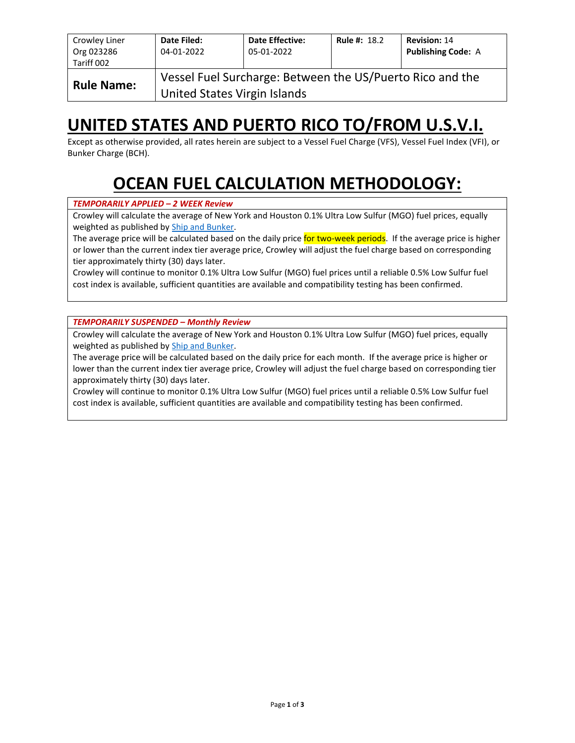| Crowley Liner<br>Org 023286<br>Tariff 002                                                                      | Date Filed:<br>04-01-2022 | <b>Date Effective:</b><br>05-01-2022 | <b>Rule #: 18.2</b> | <b>Revision: 14</b><br><b>Publishing Code: A</b> |  |  |  |  |
|----------------------------------------------------------------------------------------------------------------|---------------------------|--------------------------------------|---------------------|--------------------------------------------------|--|--|--|--|
| Vessel Fuel Surcharge: Between the US/Puerto Rico and the<br><b>Rule Name:</b><br>United States Virgin Islands |                           |                                      |                     |                                                  |  |  |  |  |

## **UNITED STATES AND PUERTO RICO TO/FROM U.S.V.I.**

Except as otherwise provided, all rates herein are subject to a Vessel Fuel Charge (VFS), Vessel Fuel Index (VFI), or Bunker Charge (BCH).

# **OCEAN FUEL CALCULATION METHODOLOGY:**

#### *TEMPORARILY APPLIED – 2 WEEK Review*

Crowley will calculate the average of New York and Houston 0.1% Ultra Low Sulfur (MGO) fuel prices, equally weighted as published by [Ship and Bunker.](https://shipandbunker.com/)

The average price will be calculated based on the daily price for two-week periods. If the average price is higher or lower than the current index tier average price, Crowley will adjust the fuel charge based on corresponding tier approximately thirty (30) days later.

Crowley will continue to monitor 0.1% Ultra Low Sulfur (MGO) fuel prices until a reliable 0.5% Low Sulfur fuel cost index is available, sufficient quantities are available and compatibility testing has been confirmed.

*TEMPORARILY SUSPENDED – Monthly Review*

Crowley will calculate the average of New York and Houston 0.1% Ultra Low Sulfur (MGO) fuel prices, equally weighted as published by [Ship and Bunker.](https://shipandbunker.com/)

The average price will be calculated based on the daily price for each month. If the average price is higher or lower than the current index tier average price, Crowley will adjust the fuel charge based on corresponding tier approximately thirty (30) days later.

Crowley will continue to monitor 0.1% Ultra Low Sulfur (MGO) fuel prices until a reliable 0.5% Low Sulfur fuel cost index is available, sufficient quantities are available and compatibility testing has been confirmed.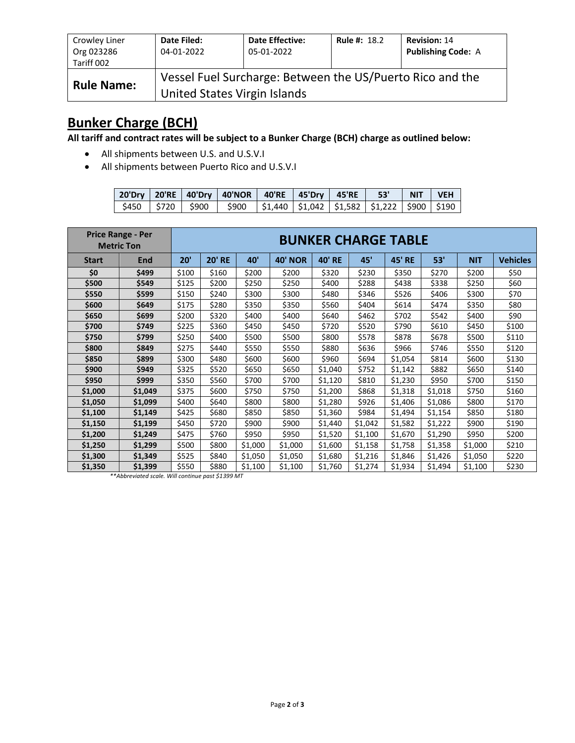| Crowley Liner<br>Org 023286<br>Tariff 002 | Date Filed:<br>04-01-2022    | <b>Date Effective:</b><br>05-01-2022                      | <b>Rule #: 18.2</b> | <b>Revision: 14</b><br><b>Publishing Code: A</b> |
|-------------------------------------------|------------------------------|-----------------------------------------------------------|---------------------|--------------------------------------------------|
| <b>Rule Name:</b>                         | United States Virgin Islands | Vessel Fuel Surcharge: Between the US/Puerto Rico and the |                     |                                                  |

### **Bunker Charge (BCH)**

**All tariff and contract rates will be subject to a Bunker Charge (BCH) charge as outlined below:**

- All shipments between U.S. and U.S.V.I
- All shipments between Puerto Rico and U.S.V.I

|  | 20'Dry   20'RE   40'Dry   40'NOR   40'RE   45'Dry   45'RE   53'                                |  |  | NIT VEH |  |
|--|------------------------------------------------------------------------------------------------|--|--|---------|--|
|  | ∣ \$450   \$720   \$900   \$900  \$1,440  \$1,042  \$1,582  \$1,222  \$900  \$190 <sub>।</sub> |  |  |         |  |

|              | <b>Price Range - Per</b><br><b>Metric Ton</b> | <b>BUNKER CHARGE TABLE</b> |               |         |                |               |         |               |         |            |                 |
|--------------|-----------------------------------------------|----------------------------|---------------|---------|----------------|---------------|---------|---------------|---------|------------|-----------------|
| <b>Start</b> | End                                           | 20'                        | <b>20' RE</b> | 40'     | <b>40' NOR</b> | <b>40' RE</b> | 45'     | <b>45' RE</b> | 53'     | <b>NIT</b> | <b>Vehicles</b> |
| \$0          | \$499                                         | \$100                      | \$160         | \$200   | \$200          | \$320         | \$230   | \$350         | \$270   | \$200      | \$50            |
| \$500        | \$549                                         | \$125                      | \$200         | \$250   | \$250          | \$400         | \$288   | \$438         | \$338   | \$250      | \$60            |
| \$550        | \$599                                         | \$150                      | \$240         | \$300   | \$300          | \$480         | \$346   | \$526         | \$406   | \$300      | \$70            |
| \$600        | \$649                                         | \$175                      | \$280         | \$350   | \$350          | \$560         | \$404   | \$614         | \$474   | \$350      | \$80            |
| \$650        | \$699                                         | \$200                      | \$320         | \$400   | \$400          | \$640         | \$462   | \$702         | \$542   | \$400      | \$90            |
| \$700        | \$749                                         | \$225                      | \$360         | \$450   | \$450          | \$720         | \$520   | \$790         | \$610   | \$450      | \$100           |
| \$750        | \$799                                         | \$250                      | \$400         | \$500   | \$500          | \$800         | \$578   | \$878         | \$678   | \$500      | \$110           |
| \$800        | \$849                                         | \$275                      | \$440         | \$550   | \$550          | \$880         | \$636   | \$966         | \$746   | \$550      | \$120           |
| \$850        | \$899                                         | \$300                      | \$480         | \$600   | \$600          | \$960         | \$694   | \$1,054       | \$814   | \$600      | \$130           |
| \$900        | \$949                                         | \$325                      | \$520         | \$650   | \$650          | \$1,040       | \$752   | \$1,142       | \$882   | \$650      | \$140           |
| \$950        | \$999                                         | \$350                      | \$560         | \$700   | \$700          | \$1,120       | \$810   | \$1,230       | \$950   | \$700      | \$150           |
| \$1,000      | \$1,049                                       | \$375                      | \$600         | \$750   | \$750          | \$1,200       | \$868   | \$1,318       | \$1,018 | \$750      | \$160           |
| \$1,050      | \$1,099                                       | \$400                      | \$640         | \$800   | \$800          | \$1,280       | \$926   | \$1,406       | \$1,086 | \$800      | \$170           |
| \$1,100      | \$1,149                                       | \$425                      | \$680         | \$850   | \$850          | \$1,360       | \$984   | \$1,494       | \$1,154 | \$850      | \$180           |
| \$1,150      | \$1,199                                       | \$450                      | \$720         | \$900   | \$900          | \$1,440       | \$1,042 | \$1,582       | \$1,222 | \$900      | \$190           |
| \$1,200      | \$1,249                                       | \$475                      | \$760         | \$950   | \$950          | \$1,520       | \$1,100 | \$1,670       | \$1,290 | \$950      | \$200           |
| \$1,250      | \$1,299                                       | \$500                      | \$800         | \$1,000 | \$1,000        | \$1,600       | \$1,158 | \$1,758       | \$1,358 | \$1,000    | \$210           |
| \$1,300      | \$1,349                                       | \$525                      | \$840         | \$1,050 | \$1,050        | \$1,680       | \$1,216 | \$1,846       | \$1,426 | \$1,050    | \$220           |
| \$1,350      | \$1,399                                       | \$550                      | \$880         | \$1,100 | \$1,100        | \$1,760       | \$1,274 | \$1,934       | \$1,494 | \$1,100    | \$230           |

*\*\*Abbreviated scale. Will continue past \$1399 MT*